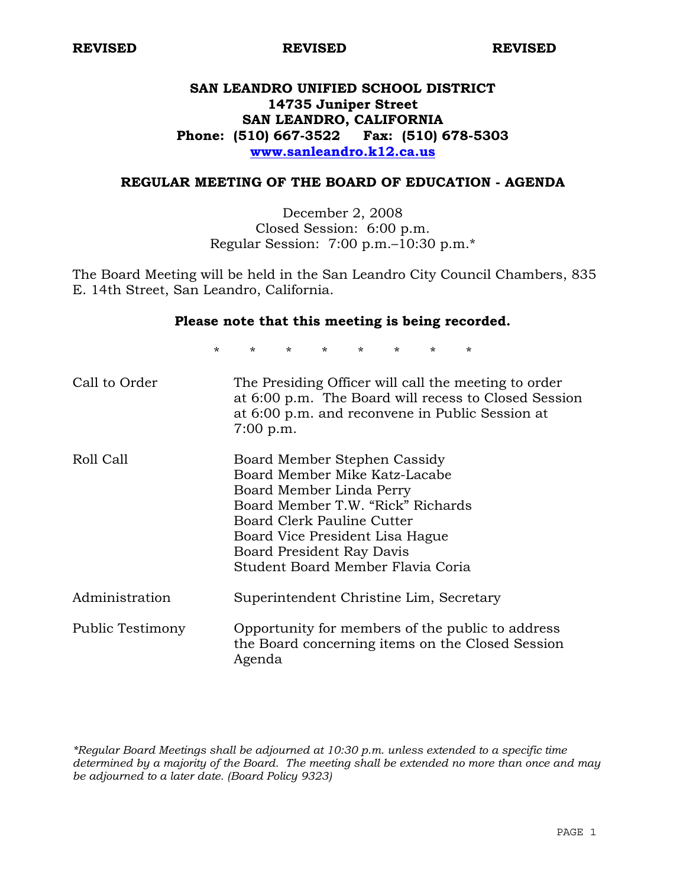**REVISED REVISED REVISED** 

# **SAN LEANDRO UNIFIED SCHOOL DISTRICT 14735 Juniper Street SAN LEANDRO, CALIFORNIA Phone: (510) 667-3522 Fax: (510) 678-5303 www.sanleandro.k12.ca.us**

### **REGULAR MEETING OF THE BOARD OF EDUCATION - AGENDA**

December 2, 2008 Closed Session: 6:00 p.m. Regular Session: 7:00 p.m.–10:30 p.m.\*

The Board Meeting will be held in the San Leandro City Council Chambers, 835 E. 14th Street, San Leandro, California.

#### **Please note that this meeting is being recorded.**

\* \* \* \* \* \* \* \*

| Call to Order    | The Presiding Officer will call the meeting to order<br>at 6:00 p.m. The Board will recess to Closed Session<br>at 6:00 p.m. and reconvene in Public Session at<br>$7:00$ p.m.                                                                                    |
|------------------|-------------------------------------------------------------------------------------------------------------------------------------------------------------------------------------------------------------------------------------------------------------------|
| Roll Call        | Board Member Stephen Cassidy<br>Board Member Mike Katz-Lacabe<br>Board Member Linda Perry<br>Board Member T.W. "Rick" Richards<br>Board Clerk Pauline Cutter<br>Board Vice President Lisa Hague<br>Board President Ray Davis<br>Student Board Member Flavia Coria |
| Administration   | Superintendent Christine Lim, Secretary                                                                                                                                                                                                                           |
| Public Testimony | Opportunity for members of the public to address<br>the Board concerning items on the Closed Session<br>Agenda                                                                                                                                                    |

*\*Regular Board Meetings shall be adjourned at 10:30 p.m. unless extended to a specific time determined by a majority of the Board. The meeting shall be extended no more than once and may be adjourned to a later date. (Board Policy 9323)*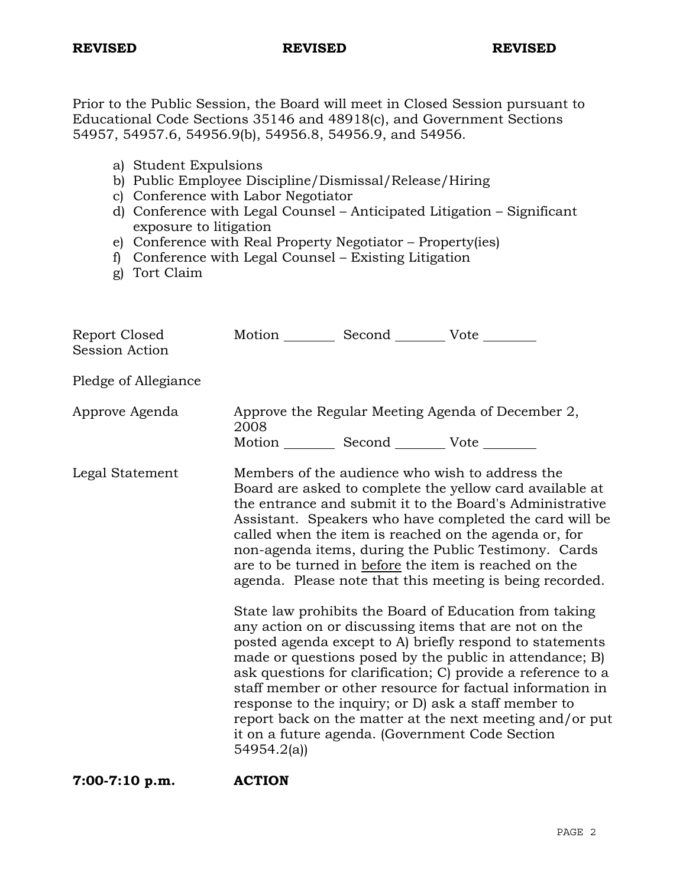#### **REVISED REVISED REVISED**

Prior to the Public Session, the Board will meet in Closed Session pursuant to Educational Code Sections 35146 and 48918(c), and Government Sections 54957, 54957.6, 54956.9(b), 54956.8, 54956.9, and 54956.

- a) Student Expulsions
- b) Public Employee Discipline/Dismissal/Release/Hiring
- c) Conference with Labor Negotiator
- d) Conference with Legal Counsel Anticipated Litigation Significant exposure to litigation
- e) Conference with Real Property Negotiator Property(ies)
- f) Conference with Legal Counsel Existing Litigation
- g) Tort Claim

| Report Closed<br>Session Action | Motion __________ Second __________ Vote ________         |                                                                                                                                                                                                                                                                                                                                                                                                                                                                                                                                                                                                                                                                                                                                                                                                                                                                                                                                                                     |
|---------------------------------|-----------------------------------------------------------|---------------------------------------------------------------------------------------------------------------------------------------------------------------------------------------------------------------------------------------------------------------------------------------------------------------------------------------------------------------------------------------------------------------------------------------------------------------------------------------------------------------------------------------------------------------------------------------------------------------------------------------------------------------------------------------------------------------------------------------------------------------------------------------------------------------------------------------------------------------------------------------------------------------------------------------------------------------------|
| Pledge of Allegiance            |                                                           |                                                                                                                                                                                                                                                                                                                                                                                                                                                                                                                                                                                                                                                                                                                                                                                                                                                                                                                                                                     |
| Approve Agenda                  | 2008<br>Motion __________ Second __________ Vote ________ | Approve the Regular Meeting Agenda of December 2,                                                                                                                                                                                                                                                                                                                                                                                                                                                                                                                                                                                                                                                                                                                                                                                                                                                                                                                   |
| Legal Statement                 |                                                           | Members of the audience who wish to address the<br>Board are asked to complete the yellow card available at<br>the entrance and submit it to the Board's Administrative<br>Assistant. Speakers who have completed the card will be<br>called when the item is reached on the agenda or, for<br>non-agenda items, during the Public Testimony. Cards<br>are to be turned in before the item is reached on the<br>agenda. Please note that this meeting is being recorded.<br>State law prohibits the Board of Education from taking<br>any action on or discussing items that are not on the<br>posted agenda except to A) briefly respond to statements<br>made or questions posed by the public in attendance; B)<br>ask questions for clarification; C) provide a reference to a<br>staff member or other resource for factual information in<br>response to the inquiry; or D) ask a staff member to<br>report back on the matter at the next meeting and/or put |
| 7:00-7:10 p.m.                  | 54954.2(a)<br><b>ACTION</b>                               | it on a future agenda. (Government Code Section                                                                                                                                                                                                                                                                                                                                                                                                                                                                                                                                                                                                                                                                                                                                                                                                                                                                                                                     |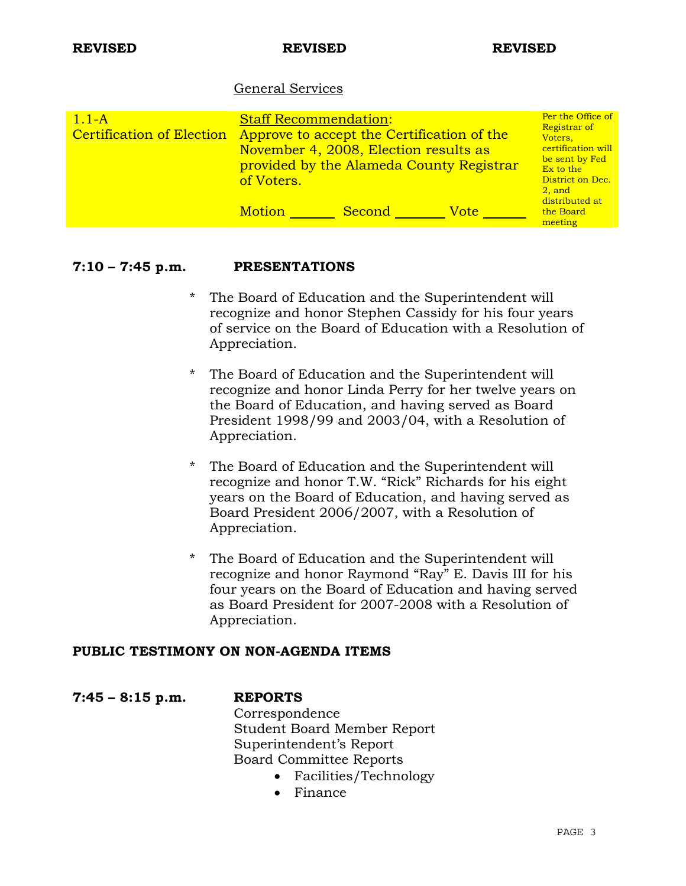## General Services

| $1.1-A$<br><b>Certification of Election</b> | <b>Staff Recommendation:</b><br>Approve to accept the Certification of the<br>November 4, 2008, Election results as<br>of Voters. |        | provided by the Alameda County Registrar | Per the Office of<br>Registrar of<br>Voters.<br>certification will<br>be sent by Fed<br>Ex to the<br>District on Dec.<br>$2.$ and<br>distributed at |
|---------------------------------------------|-----------------------------------------------------------------------------------------------------------------------------------|--------|------------------------------------------|-----------------------------------------------------------------------------------------------------------------------------------------------------|
|                                             | <b>Motion</b>                                                                                                                     | Second | Votel                                    | the Board<br>meeting                                                                                                                                |

### **7:10 – 7:45 p.m. PRESENTATIONS**

- \* The Board of Education and the Superintendent will recognize and honor Stephen Cassidy for his four years of service on the Board of Education with a Resolution of Appreciation.
- \* The Board of Education and the Superintendent will recognize and honor Linda Perry for her twelve years on the Board of Education, and having served as Board President 1998/99 and 2003/04, with a Resolution of Appreciation.
- The Board of Education and the Superintendent will recognize and honor T.W. "Rick" Richards for his eight years on the Board of Education, and having served as Board President 2006/2007, with a Resolution of Appreciation.
- \* The Board of Education and the Superintendent will recognize and honor Raymond "Ray" E. Davis III for his four years on the Board of Education and having served as Board President for 2007-2008 with a Resolution of Appreciation.

### **PUBLIC TESTIMONY ON NON-AGENDA ITEMS**

**7:45 – 8:15 p.m. REPORTS** Correspondence Student Board Member Report Superintendent's Report Board Committee Reports

- Facilities/Technology
- Finance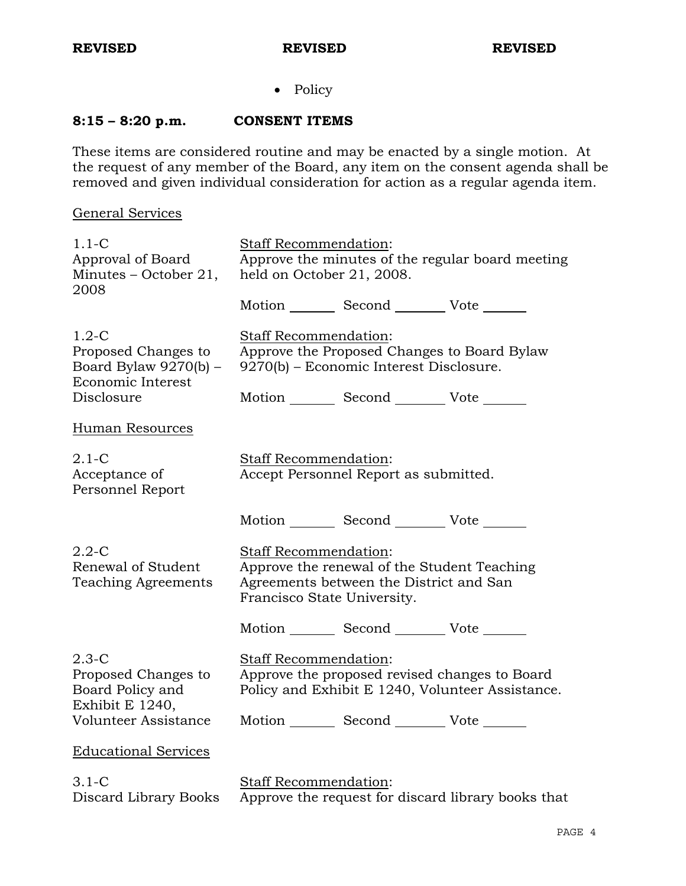• Policy

## **8:15 – 8:20 p.m. CONSENT ITEMS**

These items are considered routine and may be enacted by a single motion. At the request of any member of the Board, any item on the consent agenda shall be removed and given individual consideration for action as a regular agenda item.

## General Services

| $1.1-C$<br>Approval of Board<br>Minutes – October 21,                                      | Staff Recommendation:<br>Approve the minutes of the regular board meeting<br>held on October 21, 2008.                                                             |
|--------------------------------------------------------------------------------------------|--------------------------------------------------------------------------------------------------------------------------------------------------------------------|
| 2008                                                                                       | Motion _________ Second _________ Vote _______                                                                                                                     |
| $1.2-C$<br>Proposed Changes to<br>Board Bylaw 9270(b) -<br>Economic Interest<br>Disclosure | Staff Recommendation:<br>Approve the Proposed Changes to Board Bylaw<br>9270(b) – Economic Interest Disclosure.<br>Motion _________ Second __________ Vote _______ |
| Human Resources                                                                            |                                                                                                                                                                    |
| $2.1 - C$<br>Acceptance of<br>Personnel Report                                             | <b>Staff Recommendation:</b><br>Accept Personnel Report as submitted.                                                                                              |
|                                                                                            | Motion _________ Second __________ Vote ____                                                                                                                       |
| $2.2 - C$<br>Renewal of Student<br><b>Teaching Agreements</b>                              | Staff Recommendation:<br>Approve the renewal of the Student Teaching<br>Agreements between the District and San<br>Francisco State University.                     |
|                                                                                            | Motion _________ Second ___________ Vote ___                                                                                                                       |
| $2.3-C$<br>Proposed Changes to<br>Board Policy and<br>Exhibit E 1240,                      | Staff Recommendation:<br>Approve the proposed revised changes to Board<br>Policy and Exhibit E 1240, Volunteer Assistance.                                         |
| Volunteer Assistance                                                                       | Motion _________ Second __________ Vote _______                                                                                                                    |
| <b>Educational Services</b>                                                                |                                                                                                                                                                    |
| $3.1-C$<br>Discard Library Books                                                           | <b>Staff Recommendation:</b><br>Approve the request for discard library books that                                                                                 |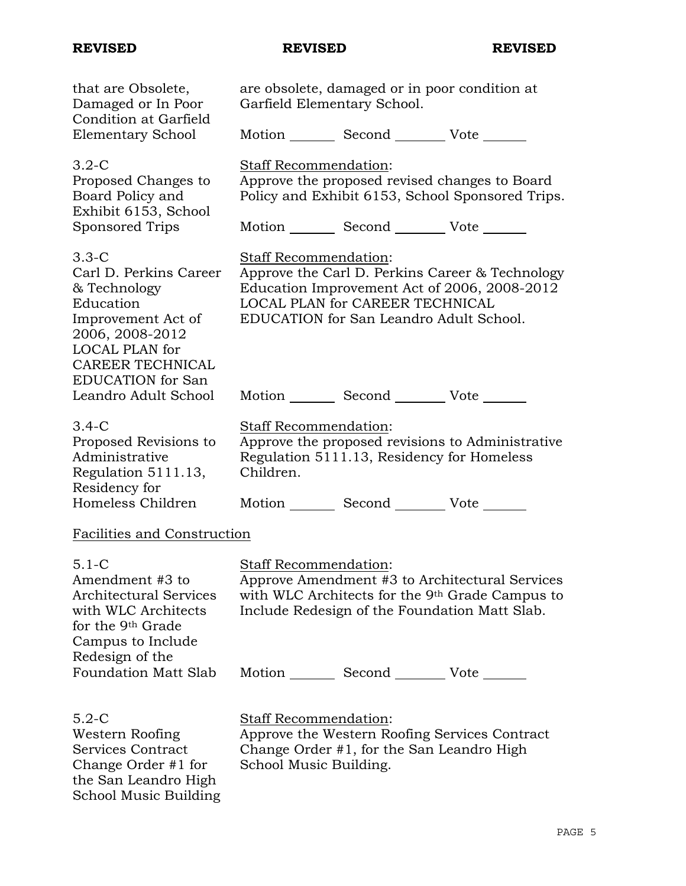School Music Building

## **REVISED REVISED REVISED**

| that are Obsolete,<br>Damaged or In Poor<br>Condition at Garfield                                                                                                                       | are obsolete, damaged or in poor condition at<br>Garfield Elementary School.                                                                                                                           |
|-----------------------------------------------------------------------------------------------------------------------------------------------------------------------------------------|--------------------------------------------------------------------------------------------------------------------------------------------------------------------------------------------------------|
| <b>Elementary School</b>                                                                                                                                                                | Motion _________ Second __________ Vote _______                                                                                                                                                        |
| $3.2-C$<br>Proposed Changes to<br>Board Policy and<br>Exhibit 6153, School<br>Sponsored Trips                                                                                           | Staff Recommendation:<br>Approve the proposed revised changes to Board<br>Policy and Exhibit 6153, School Sponsored Trips.<br>Motion _________ Second __________ Vote _______                          |
| $3.3-C$<br>Carl D. Perkins Career<br>& Technology<br>Education<br>Improvement Act of<br>2006, 2008-2012<br><b>LOCAL PLAN</b> for<br><b>CAREER TECHNICAL</b><br><b>EDUCATION</b> for San | Staff Recommendation:<br>Approve the Carl D. Perkins Career & Technology<br>Education Improvement Act of 2006, 2008-2012<br>LOCAL PLAN for CAREER TECHNICAL<br>EDUCATION for San Leandro Adult School. |
| Leandro Adult School                                                                                                                                                                    | Motion _________ Second __________ Vote _______                                                                                                                                                        |
| $3.4-C$<br>Proposed Revisions to<br>Administrative<br>Regulation 5111.13,<br>Residency for                                                                                              | <b>Staff Recommendation:</b><br>Approve the proposed revisions to Administrative<br>Regulation 5111.13, Residency for Homeless<br>Children.                                                            |
| Homeless Children                                                                                                                                                                       | Motion _________ Second _________ Vote _______                                                                                                                                                         |
| Facilities and Construction                                                                                                                                                             |                                                                                                                                                                                                        |
| $5.1-C$<br>Amendment #3 to<br>Architectural Services<br>with WLC Architects<br>for the 9 <sup>th</sup> Grade<br>Campus to Include                                                       | Staff Recommendation:<br>Approve Amendment #3 to Architectural Services<br>with WLC Architects for the 9 <sup>th</sup> Grade Campus to<br>Include Redesign of the Foundation Matt Slab.                |
| Redesign of the<br><b>Foundation Matt Slab</b>                                                                                                                                          | Motion _________ Second __________ Vote _______                                                                                                                                                        |
| $5.2-C$<br>Western Roofing<br>Services Contract<br>Change Order #1 for<br>the San Leandro High                                                                                          | <b>Staff Recommendation:</b><br>Approve the Western Roofing Services Contract<br>Change Order #1, for the San Leandro High<br>School Music Building.                                                   |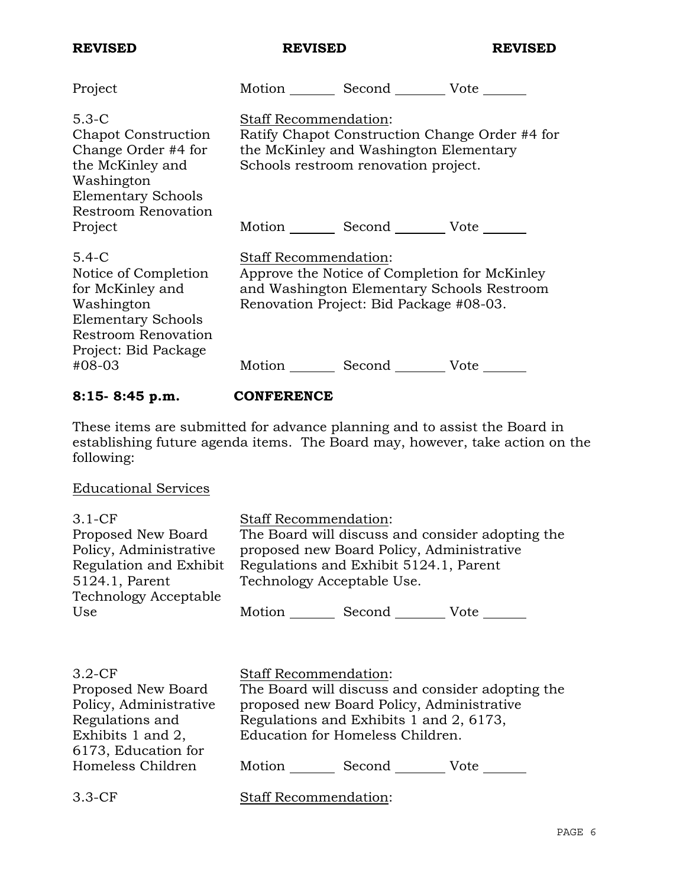| <b>REVISED</b>                                                                                                                                | <b>REVISED</b>                                                                                                                                                         | <b>REVISED</b> |
|-----------------------------------------------------------------------------------------------------------------------------------------------|------------------------------------------------------------------------------------------------------------------------------------------------------------------------|----------------|
| Project                                                                                                                                       | Motion Second Vote                                                                                                                                                     |                |
| $5.3-C$<br>Chapot Construction<br>Change Order #4 for<br>the McKinley and<br>Washington<br><b>Elementary Schools</b><br>Restroom Renovation   | <b>Staff Recommendation:</b><br>Ratify Chapot Construction Change Order #4 for<br>the McKinley and Washington Elementary<br>Schools restroom renovation project.       |                |
| Project                                                                                                                                       | Motion _________ Second __________ Vote _______                                                                                                                        |                |
| $5.4-C$<br>Notice of Completion<br>for McKinley and<br>Washington<br><b>Elementary Schools</b><br>Restroom Renovation<br>Project: Bid Package | <b>Staff Recommendation:</b><br>Approve the Notice of Completion for McKinley<br>and Washington Elementary Schools Restroom<br>Renovation Project: Bid Package #08-03. |                |
| #08-03                                                                                                                                        | Motion Second Vote                                                                                                                                                     |                |

# **8:15- 8:45 p.m. CONFERENCE**

These items are submitted for advance planning and to assist the Board in establishing future agenda items. The Board may, however, take action on the following:

# Educational Services

| $3.1-CF$<br>Proposed New Board<br>Policy, Administrative<br>Regulation and Exhibit<br>5124.1, Parent | <b>Staff Recommendation:</b><br>The Board will discuss and consider adopting the<br>proposed new Board Policy, Administrative<br>Regulations and Exhibit 5124.1, Parent<br>Technology Acceptable Use. |  |  |
|------------------------------------------------------------------------------------------------------|-------------------------------------------------------------------------------------------------------------------------------------------------------------------------------------------------------|--|--|
| <b>Technology Acceptable</b><br>Use                                                                  | Motion<br>Second Vote                                                                                                                                                                                 |  |  |
| 20.0                                                                                                 |                                                                                                                                                                                                       |  |  |

| $3.2-CF$               | <b>Staff Recommendation:</b>                     |  |
|------------------------|--------------------------------------------------|--|
| Proposed New Board     | The Board will discuss and consider adopting the |  |
| Policy, Administrative | proposed new Board Policy, Administrative        |  |
| Regulations and        | Regulations and Exhibits 1 and 2, 6173,          |  |
| Exhibits 1 and 2,      | Education for Homeless Children.                 |  |
| 6173, Education for    |                                                  |  |
| Homeless Children      | Motion<br>Second<br>Vote                         |  |
|                        |                                                  |  |
| $3.3-CF$               | Staff Recommendation:                            |  |
|                        |                                                  |  |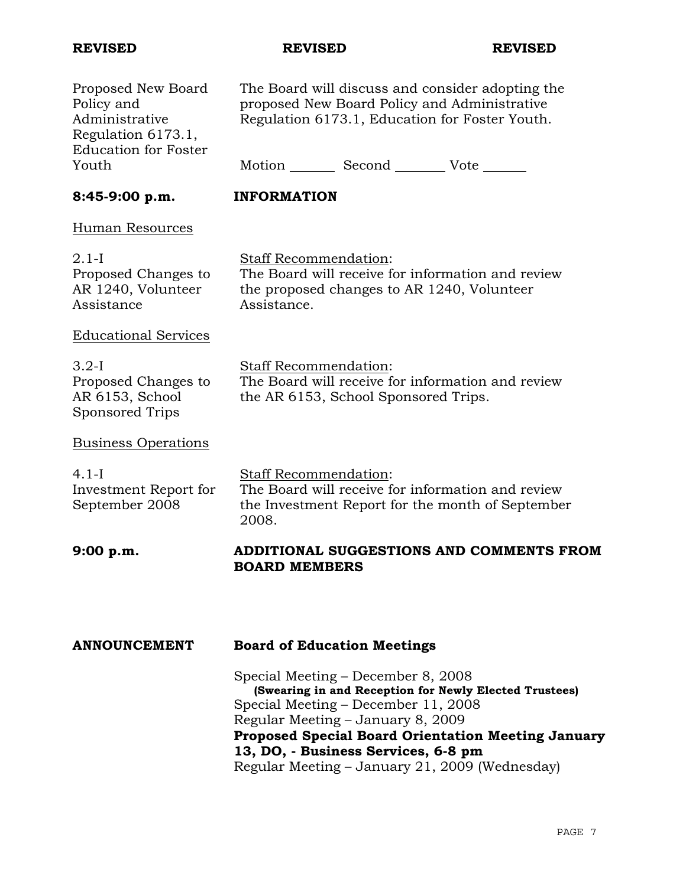**REVISED REVISED REVISED** 

| Proposed New Board<br>Policy and<br>Administrative<br>Regulation 6173.1,<br><b>Education for Foster</b><br>Youth | The Board will discuss and consider adopting the<br>proposed New Board Policy and Administrative<br>Regulation 6173.1, Education for Foster Youth.<br>Motion Second Vote ______ |
|------------------------------------------------------------------------------------------------------------------|---------------------------------------------------------------------------------------------------------------------------------------------------------------------------------|
|                                                                                                                  |                                                                                                                                                                                 |
| 8:45-9:00 p.m.                                                                                                   | <b>INFORMATION</b>                                                                                                                                                              |
| Human Resources                                                                                                  |                                                                                                                                                                                 |
| $2.1-I$<br>Proposed Changes to<br>AR 1240, Volunteer<br>Assistance                                               | Staff Recommendation:<br>The Board will receive for information and review<br>the proposed changes to AR 1240, Volunteer<br>Assistance.                                         |
| <b>Educational Services</b>                                                                                      |                                                                                                                                                                                 |
| $3.2-I$<br>Proposed Changes to<br>AR 6153, School<br>Sponsored Trips                                             | Staff Recommendation:<br>The Board will receive for information and review<br>the AR 6153, School Sponsored Trips.                                                              |
| <b>Business Operations</b>                                                                                       |                                                                                                                                                                                 |
| $4.1-I$<br>Investment Report for<br>September 2008                                                               | Staff Recommendation:<br>The Board will receive for information and review<br>the Investment Report for the month of September<br>2008.                                         |
| 9:00 p.m.                                                                                                        | ADDITIONAL SUGGESTIONS AND COMMENTS FROM<br><b>BOARD MEMBERS</b>                                                                                                                |
| <b>ANNOUNCEMENT</b>                                                                                              | <b>Board of Education Meetings</b>                                                                                                                                              |
|                                                                                                                  | Special Meeting – December 8, 2008<br>(Swearing in and Reception for Newly Elected Trustees)<br>Special Meeting – December 11, 2008                                             |

Regular Meeting – January 8, 2009

**13, DO, - Business Services, 6-8 pm** 

**Proposed Special Board Orientation Meeting January** 

Regular Meeting – January 21, 2009 (Wednesday)

PAGE 7